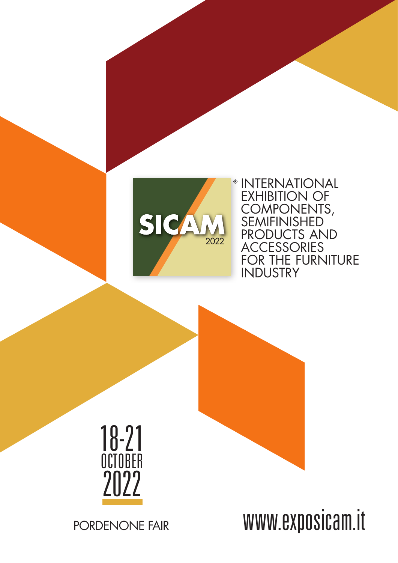

® INTERNATIONAL EXHIBITION OF COMPONENTS, SEMIFINISHED PRODUCTS AND **ACCESSORIES** FOR THE FURNITURE INDUSTRY



www.exposicam.it

PORDENONE FAIR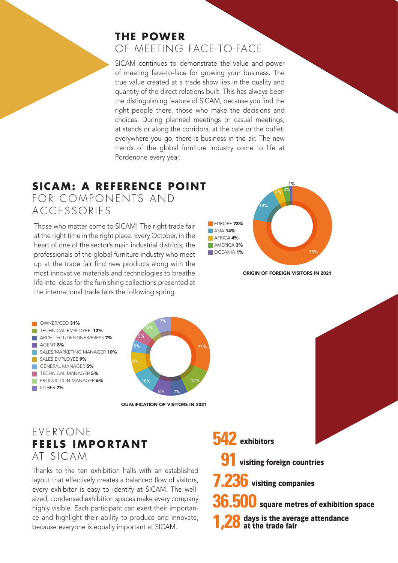### **THE POWER** OF MEETING FACE-TO-FACE

SICAM continues to demonstrate the value and power of meeting face-to-face for growing your business. The true value created at a trade show lies in the quality and quantity of the direct relations built. This has always been the distinguishing feature of SICAM, because you find the right people there, those who make the decisions and choices. During planned meetings or casual meetings, at stands or along the corridors, at the cafe or the buffet: everywhere you go, there is business in the air. The new trends of the global furniture industry come to life at Pordenone every year.

## **SICAM: A REFERENCE POINT**

FOR COMPONENTS AND ACCESSORIES

Those who matter come to SICAM! The right trade fair at the right time in the right place. Every October, in the heart of one of the sector's main industrial districts, the professionals of the global furniture industry who meet up at the trade fair find new products along with the most innovative materials and technologies to breathe life into ideas for the furnishing collections presented at the international trade fairs the following spring.



ORIGIN OF FOREIGN VISITORS IN 2021



### EVERYONE **FEELS IMPORTANT** AT SICAM

Thanks to the ten exhibition halls with an established layout that effectively creates a balanced flow of visitors, every exhibitor is easy to identify at SICAM. The wellsized, condensed exhibition spaces make every company highly visible. Each participant can exert their importance and highlight their ability to produce and innovate, because everyone is equally important at SICAM.

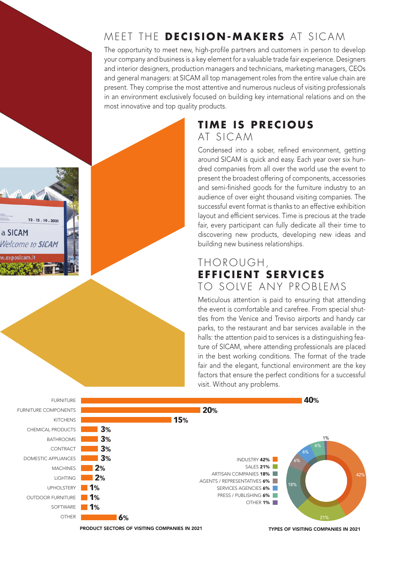# MEET THE **DECISION-MAKERS** AT SICAM

The opportunity to meet new, high-profile partners and customers in person to develop your company and business is a key element for a valuable trade fair experience. Designers and interior designers, production managers and technicians, marketing managers, CEOs and general managers: at SICAM all top management roles from the entire value chain are present. They comprise the most attentive and numerous nucleus of visiting professionals in an environment exclusively focused on building key international relations and on the most innovative and top quality products.

#### **TIME IS PRECIOUS** AT SICAM

Condensed into a sober, refined environment, getting around SICAM is quick and easy. Each year over six hundred companies from all over the world use the event to present the broadest offering of components, accessories and semi-finished goods for the furniture industry to an audience of over eight thousand visiting companies. The successful event format is thanks to an effective exhibition layout and efficient services. Time is precious at the trade fair, every participant can fully dedicate all their time to discovering new products, developing new ideas and building new business relationships.

## THOROUGH, **EFFICIENT SERVICES** TO SOLVE ANY PROBLEMS

Meticulous attention is paid to ensuring that attending the event is comfortable and carefree. From special shuttles from the Venice and Treviso airports and handy car parks, to the restaurant and bar services available in the halls: the attention paid to services is a distinguishing feature of SICAM, where attending professionals are placed in the best working conditions. The format of the trade fair and the elegant, functional environment are the key factors that ensure the perfect conditions for a successful visit. Without any problems.



 $12 - 15.10.2021$ 

a SICAM

w exnosicam i

**Welcome to SICAM** 

TYPES OF VISITING COMPANIES IN 2021